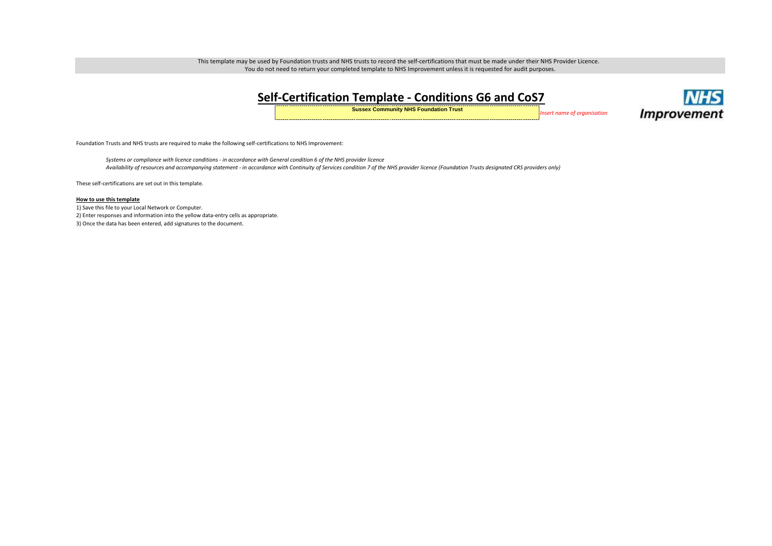This template may be used by Foundation trusts and NHS trusts to record the self-certifications that must be made under their NHS Provider Licence. You do not need to return your completed template to NHS Improvement unless it is requested for audit purposes.

| Self-Certification Template - Conditions G6 and CoS7 |  |  |  |  |  |  |
|------------------------------------------------------|--|--|--|--|--|--|
|                                                      |  |  |  |  |  |  |

**Sussex Community NHS Foundation Trust** *Insert name of organisation*



Foundation Trusts and NHS trusts are required to make the following self-certifications to NHS Improvement:

*Systems or compliance with licence conditions - in accordance with General condition 6 of the NHS provider licence Availability of resources and accompanying statement - in accordance with Continuity of Services condition 7 of the NHS provider licence (Foundation Trusts designated CRS providers only)*

These self-certifications are set out in this template.

## **How to use this template**

1) Save this file to your Local Network or Computer. 2) Enter responses and information into the yellow data-entry cells as appropriate. 3) Once the data has been entered, add signatures to the document.